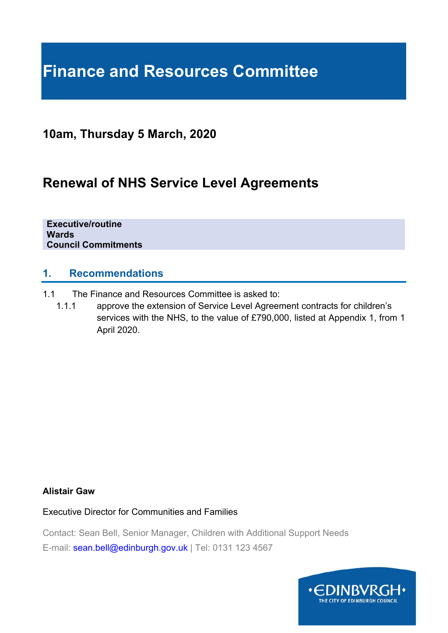# **Finance and Resources Committee**

### **10am, Thursday 5 March, 2020**

## **Renewal of NHS Service Level Agreements**

**Executive/routine Wards Council Commitments** 

#### **1. Recommendations**

- 1.1 The Finance and Resources Committee is asked to:
	- 1.1.1 approve the extension of Service Level Agreement contracts for children's services with the NHS, to the value of £790,000, listed at Appendix 1, from 1 April 2020.

#### **Alistair Gaw**

Executive Director for Communities and Families

Contact: Sean Bell, Senior Manager, Children with Additional Support Needs E-mail: sean.bell@edinburgh.gov.uk | Tel: 0131 123 4567

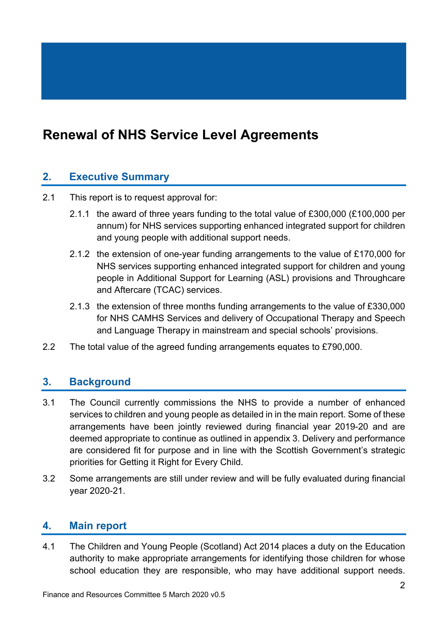## **Renewal of NHS Service Level Agreements**

#### **2. Executive Summary**

- 2.1 This report is to request approval for:
	- 2.1.1 the award of three years funding to the total value of £300,000 (£100,000 per annum) for NHS services supporting enhanced integrated support for children and young people with additional support needs.
	- 2.1.2 the extension of one-year funding arrangements to the value of £170,000 for NHS services supporting enhanced integrated support for children and young people in Additional Support for Learning (ASL) provisions and Throughcare and Aftercare (TCAC) services.
	- 2.1.3 the extension of three months funding arrangements to the value of £330,000 for NHS CAMHS Services and delivery of Occupational Therapy and Speech and Language Therapy in mainstream and special schools' provisions.
- 2.2 The total value of the agreed funding arrangements equates to £790,000.

#### **3. Background**

- 3.1 The Council currently commissions the NHS to provide a number of enhanced services to children and young people as detailed in in the main report. Some of these arrangements have been jointly reviewed during financial year 2019-20 and are deemed appropriate to continue as outlined in appendix 3. Delivery and performance are considered fit for purpose and in line with the Scottish Government's strategic priorities for Getting it Right for Every Child.
- 3.2 Some arrangements are still under review and will be fully evaluated during financial year 2020-21.

#### **4. Main report**

4.1 The Children and Young People (Scotland) Act 2014 places a duty on the Education authority to make appropriate arrangements for identifying those children for whose school education they are responsible, who may have additional support needs.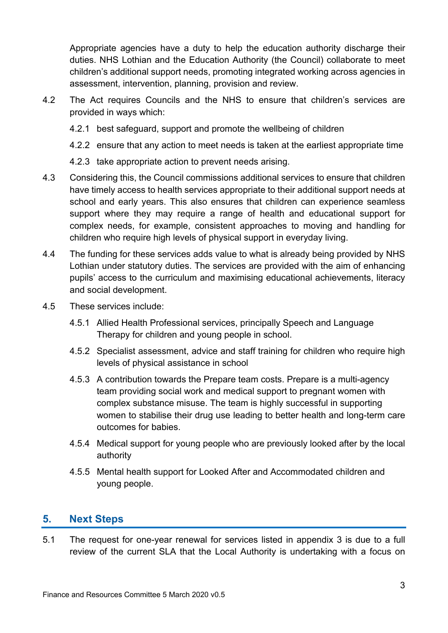Appropriate agencies have a duty to help the education authority discharge their duties. NHS Lothian and the Education Authority (the Council) collaborate to meet children's additional support needs, promoting integrated working across agencies in assessment, intervention, planning, provision and review.

- 4.2 The Act requires Councils and the NHS to ensure that children's services are provided in ways which:
	- 4.2.1 best safeguard, support and promote the wellbeing of children
	- 4.2.2 ensure that any action to meet needs is taken at the earliest appropriate time
	- 4.2.3 take appropriate action to prevent needs arising.
- 4.3 Considering this, the Council commissions additional services to ensure that children have timely access to health services appropriate to their additional support needs at school and early years. This also ensures that children can experience seamless support where they may require a range of health and educational support for complex needs, for example, consistent approaches to moving and handling for children who require high levels of physical support in everyday living.
- 4.4 The funding for these services adds value to what is already being provided by NHS Lothian under statutory duties. The services are provided with the aim of enhancing pupils' access to the curriculum and maximising educational achievements, literacy and social development.
- 4.5 These services include:
	- 4.5.1 Allied Health Professional services, principally Speech and Language Therapy for children and young people in school.
	- 4.5.2 Specialist assessment, advice and staff training for children who require high levels of physical assistance in school
	- 4.5.3 A contribution towards the Prepare team costs. Prepare is a multi-agency team providing social work and medical support to pregnant women with complex substance misuse. The team is highly successful in supporting women to stabilise their drug use leading to better health and long-term care outcomes for babies.
	- 4.5.4 Medical support for young people who are previously looked after by the local authority
	- 4.5.5 Mental health support for Looked After and Accommodated children and young people.

#### **5. Next Steps**

5.1 The request for one-year renewal for services listed in appendix 3 is due to a full review of the current SLA that the Local Authority is undertaking with a focus on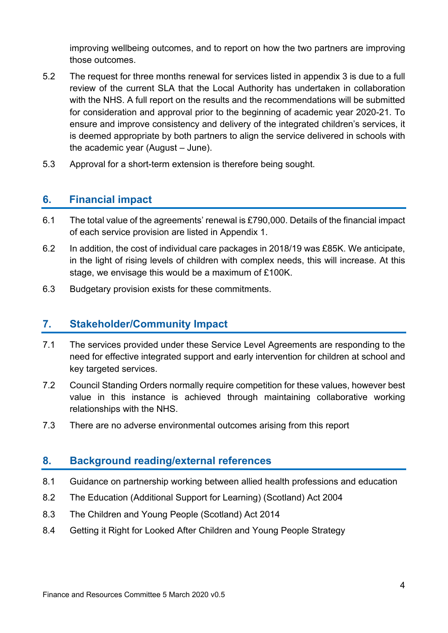improving wellbeing outcomes, and to report on how the two partners are improving those outcomes.

- 5.2 The request for three months renewal for services listed in appendix 3 is due to a full review of the current SLA that the Local Authority has undertaken in collaboration with the NHS. A full report on the results and the recommendations will be submitted for consideration and approval prior to the beginning of academic year 2020-21. To ensure and improve consistency and delivery of the integrated children's services, it is deemed appropriate by both partners to align the service delivered in schools with the academic year (August – June).
- 5.3 Approval for a short-term extension is therefore being sought.

#### **6. Financial impact**

- 6.1 The total value of the agreements' renewal is £790,000. Details of the financial impact of each service provision are listed in Appendix 1.
- 6.2 In addition, the cost of individual care packages in 2018/19 was £85K. We anticipate, in the light of rising levels of children with complex needs, this will increase. At this stage, we envisage this would be a maximum of £100K.
- 6.3 Budgetary provision exists for these commitments.

#### **7. Stakeholder/Community Impact**

- 7.1 The services provided under these Service Level Agreements are responding to the need for effective integrated support and early intervention for children at school and key targeted services.
- 7.2 Council Standing Orders normally require competition for these values, however best value in this instance is achieved through maintaining collaborative working relationships with the NHS.
- 7.3 There are no adverse environmental outcomes arising from this report

#### **8. Background reading/external references**

- 8.1 Guidance on partnership working between allied health professions and education
- 8.2 The Education (Additional Support for Learning) (Scotland) Act 2004
- 8.3 The Children and Young People (Scotland) Act 2014
- 8.4 Getting it Right for Looked After Children and Young People Strategy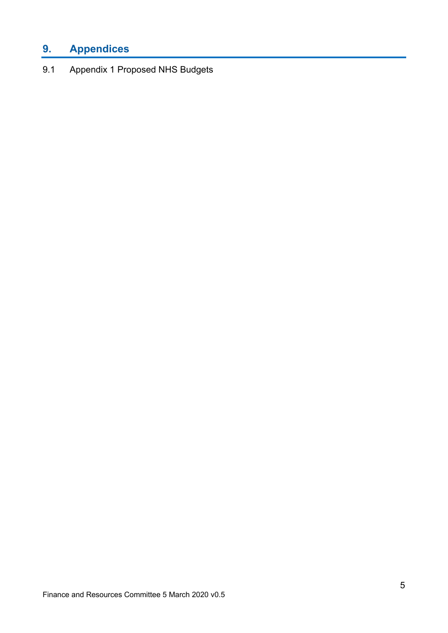## **9. Appendices**

9.1 Appendix 1 Proposed NHS Budgets